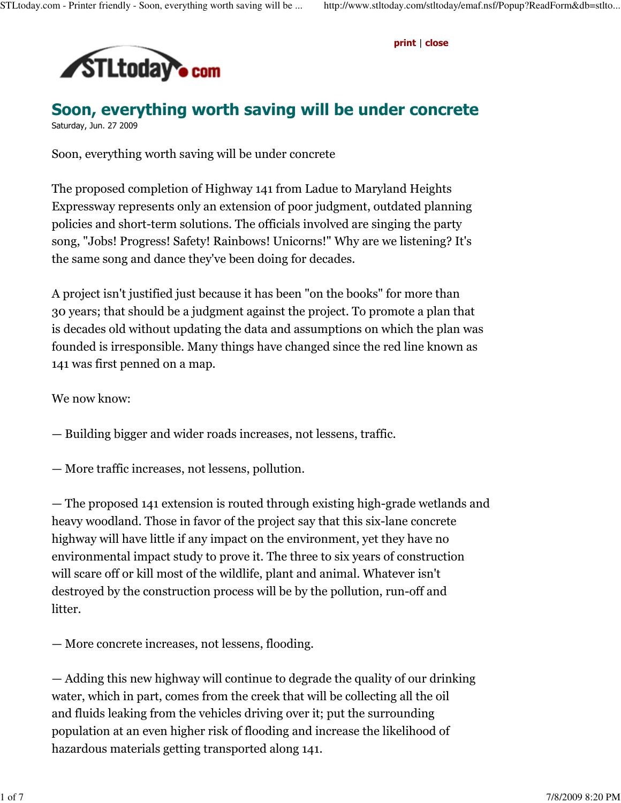print | close



Soon, everything worth saving will be under concrete Saturday, Jun. 27 2009

Soon, everything worth saving will be under concrete

The proposed completion of Highway 141 from Ladue to Maryland Heights Expressway represents only an extension of poor judgment, outdated planning policies and short-term solutions. The officials involved are singing the party song, "Jobs! Progress! Safety! Rainbows! Unicorns!" Why are we listening? It's the same song and dance they've been doing for decades.

A project isn't justified just because it has been "on the books" for more than 30 years; that should be a judgment against the project. To promote a plan that is decades old without updating the data and assumptions on which the plan was founded is irresponsible. Many things have changed since the red line known as 141 was first penned on a map.

We now know:

- Building bigger and wider roads increases, not lessens, traffic.
- More traffic increases, not lessens, pollution.

— The proposed 141 extension is routed through existing high-grade wetlands and heavy woodland. Those in favor of the project say that this six-lane concrete highway will have little if any impact on the environment, yet they have no environmental impact study to prove it. The three to six years of construction will scare off or kill most of the wildlife, plant and animal. Whatever isn't destroyed by the construction process will be by the pollution, run-off and litter.

— More concrete increases, not lessens, flooding.

— Adding this new highway will continue to degrade the quality of our drinking water, which in part, comes from the creek that will be collecting all the oil and fluids leaking from the vehicles driving over it; put the surrounding population at an even higher risk of flooding and increase the likelihood of hazardous materials getting transported along 141.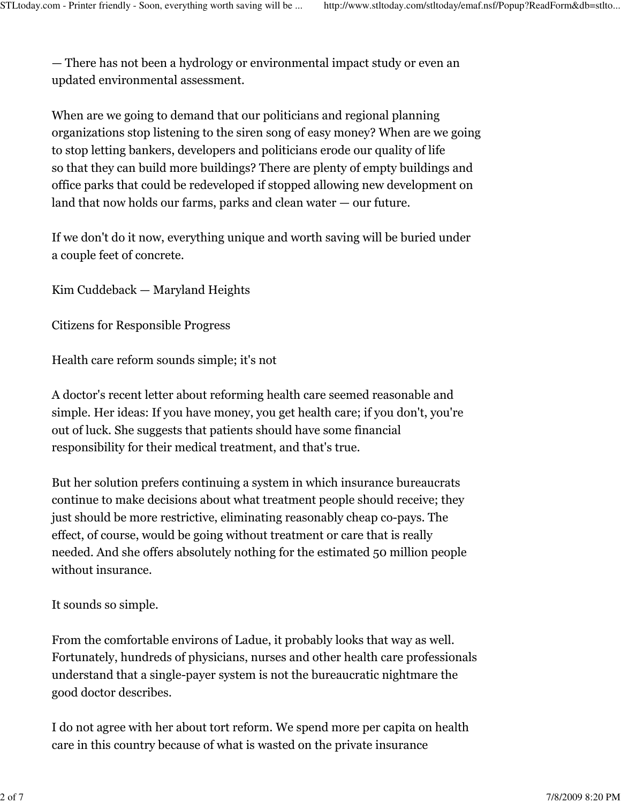— There has not been a hydrology or environmental impact study or even an updated environmental assessment.

When are we going to demand that our politicians and regional planning organizations stop listening to the siren song of easy money? When are we going to stop letting bankers, developers and politicians erode our quality of life so that they can build more buildings? There are plenty of empty buildings and office parks that could be redeveloped if stopped allowing new development on land that now holds our farms, parks and clean water — our future.

If we don't do it now, everything unique and worth saving will be buried under a couple feet of concrete.

Kim Cuddeback — Maryland Heights

Citizens for Responsible Progress

Health care reform sounds simple; it's not

A doctor's recent letter about reforming health care seemed reasonable and simple. Her ideas: If you have money, you get health care; if you don't, you're out of luck. She suggests that patients should have some financial responsibility for their medical treatment, and that's true.

But her solution prefers continuing a system in which insurance bureaucrats continue to make decisions about what treatment people should receive; they just should be more restrictive, eliminating reasonably cheap co-pays. The effect, of course, would be going without treatment or care that is really needed. And she offers absolutely nothing for the estimated 50 million people without insurance.

It sounds so simple.

From the comfortable environs of Ladue, it probably looks that way as well. Fortunately, hundreds of physicians, nurses and other health care professionals understand that a single-payer system is not the bureaucratic nightmare the good doctor describes.

I do not agree with her about tort reform. We spend more per capita on health care in this country because of what is wasted on the private insurance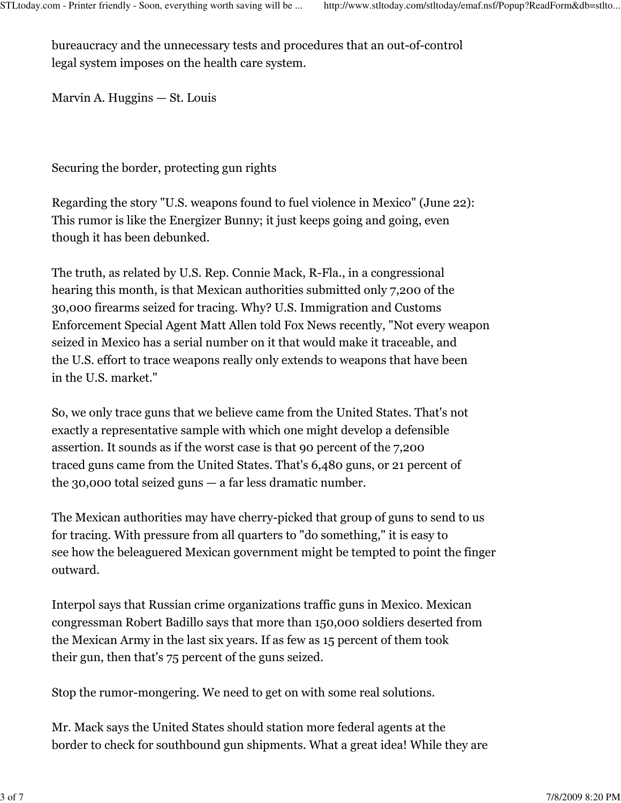bureaucracy and the unnecessary tests and procedures that an out-of-control legal system imposes on the health care system.

Marvin A. Huggins — St. Louis

Securing the border, protecting gun rights

Regarding the story "U.S. weapons found to fuel violence in Mexico" (June 22): This rumor is like the Energizer Bunny; it just keeps going and going, even though it has been debunked.

The truth, as related by U.S. Rep. Connie Mack, R-Fla., in a congressional hearing this month, is that Mexican authorities submitted only 7,200 of the 30,000 firearms seized for tracing. Why? U.S. Immigration and Customs Enforcement Special Agent Matt Allen told Fox News recently, "Not every weapon seized in Mexico has a serial number on it that would make it traceable, and the U.S. effort to trace weapons really only extends to weapons that have been in the U.S. market."

So, we only trace guns that we believe came from the United States. That's not exactly a representative sample with which one might develop a defensible assertion. It sounds as if the worst case is that 90 percent of the 7,200 traced guns came from the United States. That's 6,480 guns, or 21 percent of the 30,000 total seized guns — a far less dramatic number.

The Mexican authorities may have cherry-picked that group of guns to send to us for tracing. With pressure from all quarters to "do something," it is easy to see how the beleaguered Mexican government might be tempted to point the finger outward.

Interpol says that Russian crime organizations traffic guns in Mexico. Mexican congressman Robert Badillo says that more than 150,000 soldiers deserted from the Mexican Army in the last six years. If as few as 15 percent of them took their gun, then that's 75 percent of the guns seized.

Stop the rumor-mongering. We need to get on with some real solutions.

Mr. Mack says the United States should station more federal agents at the border to check for southbound gun shipments. What a great idea! While they are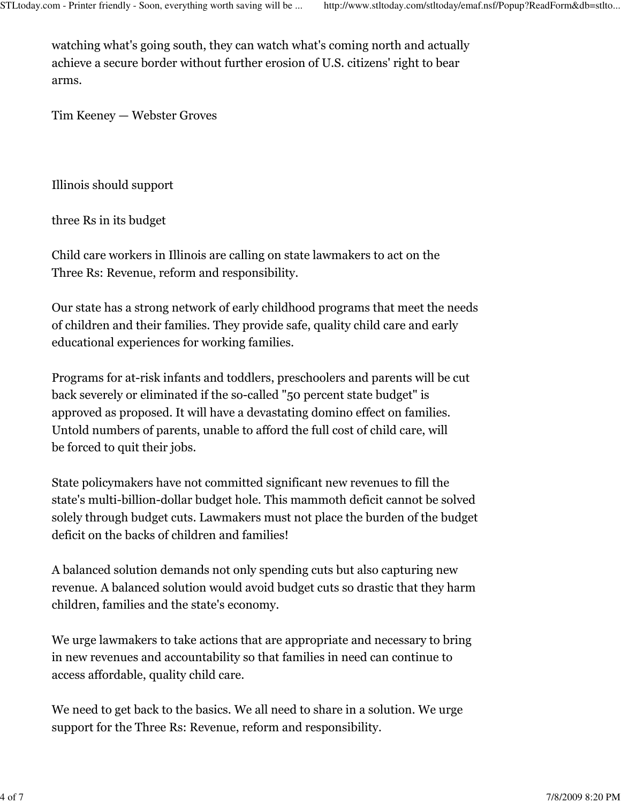watching what's going south, they can watch what's coming north and actually achieve a secure border without further erosion of U.S. citizens' right to bear arms.

Tim Keeney — Webster Groves

Illinois should support

three Rs in its budget

Child care workers in Illinois are calling on state lawmakers to act on the Three Rs: Revenue, reform and responsibility.

Our state has a strong network of early childhood programs that meet the needs of children and their families. They provide safe, quality child care and early educational experiences for working families.

Programs for at-risk infants and toddlers, preschoolers and parents will be cut back severely or eliminated if the so-called "50 percent state budget" is approved as proposed. It will have a devastating domino effect on families. Untold numbers of parents, unable to afford the full cost of child care, will be forced to quit their jobs.

State policymakers have not committed significant new revenues to fill the state's multi-billion-dollar budget hole. This mammoth deficit cannot be solved solely through budget cuts. Lawmakers must not place the burden of the budget deficit on the backs of children and families!

A balanced solution demands not only spending cuts but also capturing new revenue. A balanced solution would avoid budget cuts so drastic that they harm children, families and the state's economy.

We urge lawmakers to take actions that are appropriate and necessary to bring in new revenues and accountability so that families in need can continue to access affordable, quality child care.

We need to get back to the basics. We all need to share in a solution. We urge support for the Three Rs: Revenue, reform and responsibility.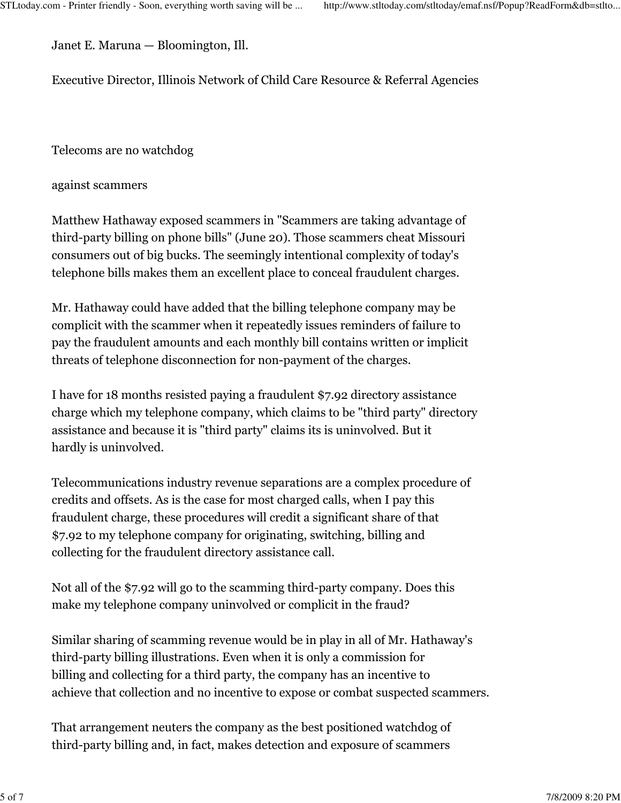Janet E. Maruna — Bloomington, Ill.

Executive Director, Illinois Network of Child Care Resource & Referral Agencies

Telecoms are no watchdog

against scammers

Matthew Hathaway exposed scammers in "Scammers are taking advantage of third-party billing on phone bills" (June 20). Those scammers cheat Missouri consumers out of big bucks. The seemingly intentional complexity of today's telephone bills makes them an excellent place to conceal fraudulent charges.

Mr. Hathaway could have added that the billing telephone company may be complicit with the scammer when it repeatedly issues reminders of failure to pay the fraudulent amounts and each monthly bill contains written or implicit threats of telephone disconnection for non-payment of the charges.

I have for 18 months resisted paying a fraudulent \$7.92 directory assistance charge which my telephone company, which claims to be "third party" directory assistance and because it is "third party" claims its is uninvolved. But it hardly is uninvolved.

Telecommunications industry revenue separations are a complex procedure of credits and offsets. As is the case for most charged calls, when I pay this fraudulent charge, these procedures will credit a significant share of that \$7.92 to my telephone company for originating, switching, billing and collecting for the fraudulent directory assistance call.

Not all of the \$7.92 will go to the scamming third-party company. Does this make my telephone company uninvolved or complicit in the fraud?

Similar sharing of scamming revenue would be in play in all of Mr. Hathaway's third-party billing illustrations. Even when it is only a commission for billing and collecting for a third party, the company has an incentive to achieve that collection and no incentive to expose or combat suspected scammers.

That arrangement neuters the company as the best positioned watchdog of third-party billing and, in fact, makes detection and exposure of scammers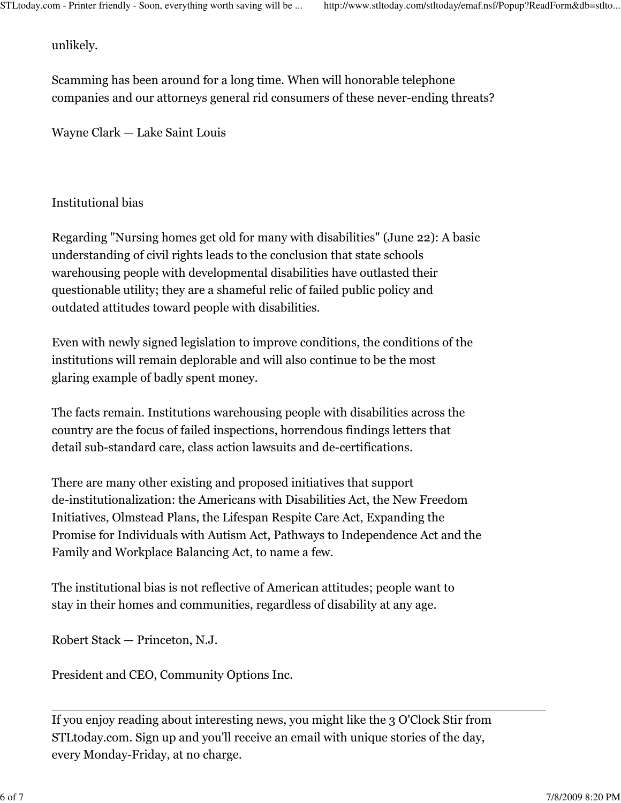unlikely.

Scamming has been around for a long time. When will honorable telephone companies and our attorneys general rid consumers of these never-ending threats?

Wayne Clark — Lake Saint Louis

## Institutional bias

Regarding "Nursing homes get old for many with disabilities" (June 22): A basic understanding of civil rights leads to the conclusion that state schools warehousing people with developmental disabilities have outlasted their questionable utility; they are a shameful relic of failed public policy and outdated attitudes toward people with disabilities.

Even with newly signed legislation to improve conditions, the conditions of the institutions will remain deplorable and will also continue to be the most glaring example of badly spent money.

The facts remain. Institutions warehousing people with disabilities across the country are the focus of failed inspections, horrendous findings letters that detail sub-standard care, class action lawsuits and de-certifications.

There are many other existing and proposed initiatives that support de-institutionalization: the Americans with Disabilities Act, the New Freedom Initiatives, Olmstead Plans, the Lifespan Respite Care Act, Expanding the Promise for Individuals with Autism Act, Pathways to Independence Act and the Family and Workplace Balancing Act, to name a few.

The institutional bias is not reflective of American attitudes; people want to stay in their homes and communities, regardless of disability at any age.

Robert Stack — Princeton, N.J.

President and CEO, Community Options Inc.

If you enjoy reading about interesting news, you might like the 3 O'Clock Stir from STLtoday.com. Sign up and you'll receive an email with unique stories of the day, every Monday-Friday, at no charge.